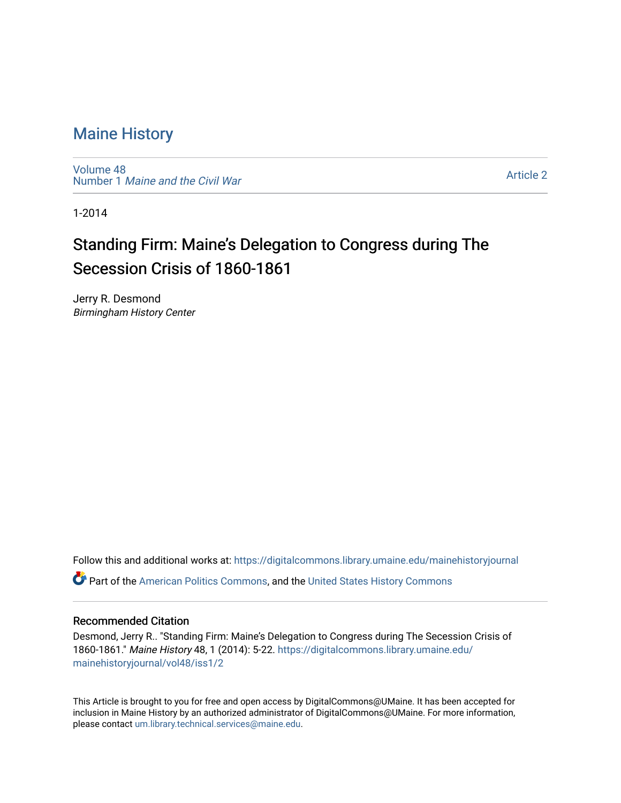[Volume 48](https://digitalcommons.library.umaine.edu/mainehistoryjournal/vol48) Number 1 [Maine and the Civil War](https://digitalcommons.library.umaine.edu/mainehistoryjournal/vol48/iss1)

[Article 2](https://digitalcommons.library.umaine.edu/mainehistoryjournal/vol48/iss1/2) 

1-2014

## Standing Firm: Maine's Delegation to Congress during The Secession Crisis of 1860-1861

Jerry R. Desmond Birmingham History Center

Follow this and additional works at: [https://digitalcommons.library.umaine.edu/mainehistoryjournal](https://digitalcommons.library.umaine.edu/mainehistoryjournal?utm_source=digitalcommons.library.umaine.edu%2Fmainehistoryjournal%2Fvol48%2Fiss1%2F2&utm_medium=PDF&utm_campaign=PDFCoverPages)  Part of the [American Politics Commons,](http://network.bepress.com/hgg/discipline/387?utm_source=digitalcommons.library.umaine.edu%2Fmainehistoryjournal%2Fvol48%2Fiss1%2F2&utm_medium=PDF&utm_campaign=PDFCoverPages) and the [United States History Commons](http://network.bepress.com/hgg/discipline/495?utm_source=digitalcommons.library.umaine.edu%2Fmainehistoryjournal%2Fvol48%2Fiss1%2F2&utm_medium=PDF&utm_campaign=PDFCoverPages)

### Recommended Citation

Desmond, Jerry R.. "Standing Firm: Maine's Delegation to Congress during The Secession Crisis of 1860-1861." Maine History 48, 1 (2014): 5-22. [https://digitalcommons.library.umaine.edu/](https://digitalcommons.library.umaine.edu/mainehistoryjournal/vol48/iss1/2?utm_source=digitalcommons.library.umaine.edu%2Fmainehistoryjournal%2Fvol48%2Fiss1%2F2&utm_medium=PDF&utm_campaign=PDFCoverPages) [mainehistoryjournal/vol48/iss1/2](https://digitalcommons.library.umaine.edu/mainehistoryjournal/vol48/iss1/2?utm_source=digitalcommons.library.umaine.edu%2Fmainehistoryjournal%2Fvol48%2Fiss1%2F2&utm_medium=PDF&utm_campaign=PDFCoverPages)

This Article is brought to you for free and open access by DigitalCommons@UMaine. It has been accepted for inclusion in Maine History by an authorized administrator of DigitalCommons@UMaine. For more information, please contact [um.library.technical.services@maine.edu.](mailto:um.library.technical.services@maine.edu)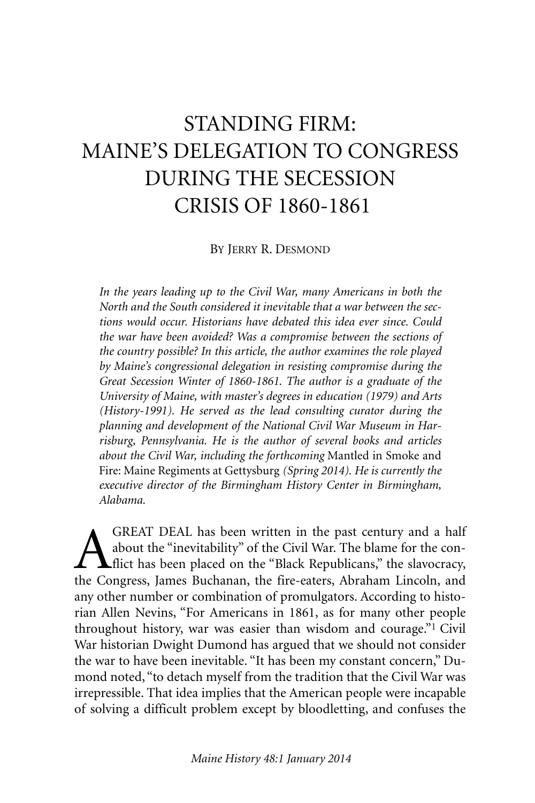# STANDING FIRM: MAINE'S DELEGATION TO CONGRESS DURING THE SECESSION CRISIS OF 1860-1861

BY JERRY R. DESMOND

*In the years leading up to the Civil War, many Americans in both the North and the South considered it inevitable that a war between the sections would occur. Historians have debated this idea ever since. Could the war have been avoided? Was a compromise between the sections of the country possible? In this article, the author examines the role played by Maine's congressional delegation in resisting compromise during the Great Secession Winter of 1860-1861. The author is a graduate of the University of Maine, with master's degrees in education (1979) and Arts (History-1991). He served as the lead consulting curator during the planning and development of the National Civil War Museum in Harrisburg, Pennsylvania. He is the author of several books and articles about the Civil War, including the forthcoming* Mantled in Smoke and Fire: Maine Regiments at Gettysburg *(Spring 2014). He is currently the executive director of the Birmingham History Center in Birmingham, Alabama.*

GREAT DEAL has been written in the past century and a half<br>about the "inevitability" of the Civil War. The blame for the con-<br>flict has been placed on the "Black Republicans," the slavocracy,<br>the Congress James Buchanan, t about the "inevitability" of the Civil War. The blame for the conflict has been placed on the "Black Republicans," the slavocracy, the Congress, James Buchanan, the fire-eaters, Abraham Lincoln, and any other number or combination of promulgators. According to historian Allen Nevins, "For Americans in 1861, as for many other people throughout history, war was easier than wisdom and courage."1 Civil War historian Dwight Dumond has argued that we should not consider the war to have been inevitable. "It has been my constant concern," Dumond noted, "to detach myself from the tradition that the Civil War was irrepressible. That idea implies that the American people were incapable of solving a difficult problem except by bloodletting, and confuses the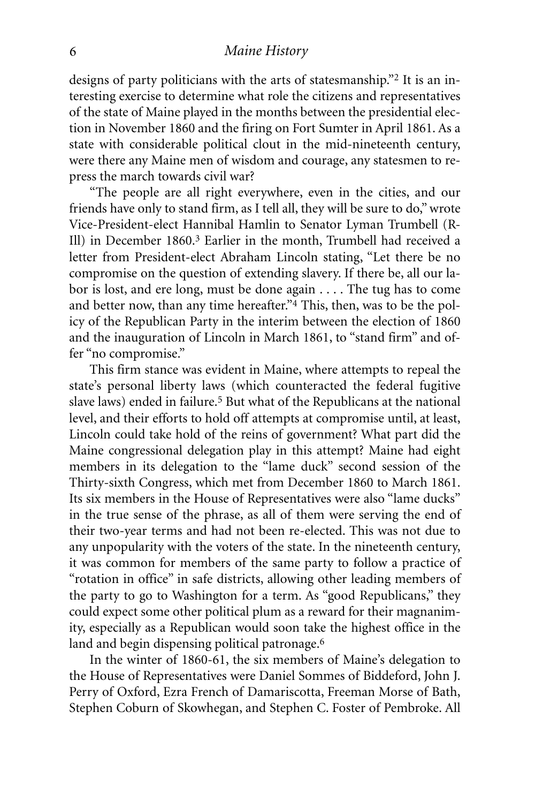designs of party politicians with the arts of statesmanship."2 It is an interesting exercise to determine what role the citizens and representatives of the state of Maine played in the months between the presidential election in November 1860 and the firing on Fort Sumter in April 1861. As a state with considerable political clout in the mid-nineteenth century, were there any Maine men of wisdom and courage, any statesmen to repress the march towards civil war?

"The people are all right everywhere, even in the cities, and our friends have only to stand firm, as I tell all, they will be sure to do," wrote Vice-President-elect Hannibal Hamlin to Senator Lyman Trumbell (R-Ill) in December 1860. 3 Earlier in the month, Trumbell had received a letter from President-elect Abraham Lincoln stating, "Let there be no compromise on the question of extending slavery. If there be, all our labor is lost, and ere long, must be done again . . . . The tug has to come and better now, than any time hereafter."<sup>4</sup> This, then, was to be the policy of the Republican Party in the interim between the election of 1860 and the inauguration of Lincoln in March 1861, to "stand firm" and offer "no compromise."

This firm stance was evident in Maine, where attempts to repeal the state's personal liberty laws (which counteracted the federal fugitive slave laws) ended in failure.<sup>5</sup> But what of the Republicans at the national level, and their efforts to hold off attempts at compromise until, at least, Lincoln could take hold of the reins of government? What part did the Maine congressional delegation play in this attempt? Maine had eight members in its delegation to the "lame duck" second session of the Thirty-sixth Congress, which met from December 1860 to March 1861. Its six members in the House of Representatives were also "lame ducks" in the true sense of the phrase, as all of them were serving the end of their two-year terms and had not been re-elected. This was not due to any unpopularity with the voters of the state. In the nineteenth century, it was common for members of the same party to follow a practice of "rotation in office" in safe districts, allowing other leading members of the party to go to Washington for a term. As "good Republicans," they could expect some other political plum as a reward for their magnanimity, especially as a Republican would soon take the highest office in the land and begin dispensing political patronage. 6

In the winter of 1860-61, the six members of Maine's delegation to the House of Representatives were Daniel Sommes of Biddeford, John J. Perry of Oxford, Ezra French of Damariscotta, Freeman Morse of Bath, Stephen Coburn of Skowhegan, and Stephen C. Foster of Pembroke. All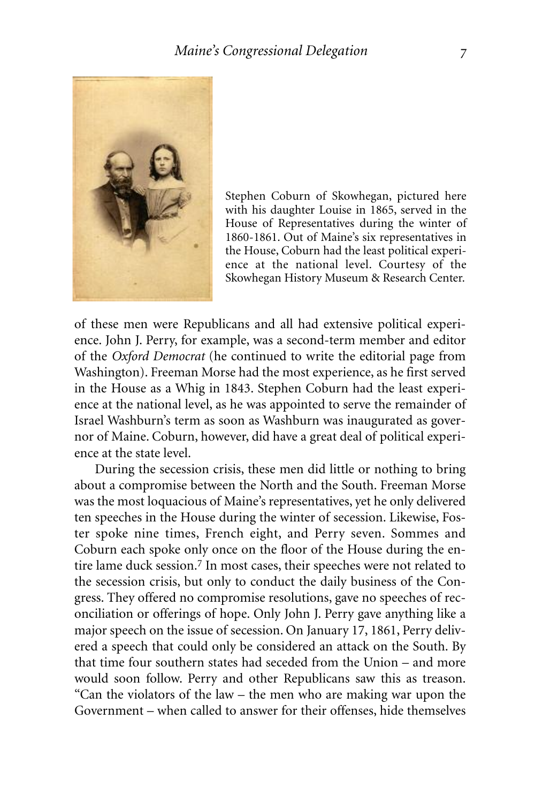

Stephen Coburn of Skowhegan, pictured here with his daughter Louise in 1865, served in the House of Representatives during the winter of 1860-1861. Out of Maine's six representatives in the House, Coburn had the least political experience at the national level. Courtesy of the Skowhegan History Museum & Research Center.

of these men were Republicans and all had extensive political experience. John J. Perry, for example, was a second-term member and editor of the *Oxford Democrat* (he continued to write the editorial page from Washington). Freeman Morse had the most experience, as he first served in the House as a Whig in 1843. Stephen Coburn had the least experience at the national level, as he was appointed to serve the remainder of Israel Washburn's term as soon as Washburn was inaugurated as governor of Maine. Coburn, however, did have a great deal of political experience at the state level.

During the secession crisis, these men did little or nothing to bring about a compromise between the North and the South. Freeman Morse was the most loquacious of Maine's representatives, yet he only delivered ten speeches in the House during the winter of secession. Likewise, Foster spoke nine times, French eight, and Perry seven. Sommes and Coburn each spoke only once on the floor of the House during the entire lame duck session. 7 In most cases, their speeches were not related to the secession crisis, but only to conduct the daily business of the Congress. They offered no compromise resolutions, gave no speeches of reconciliation or offerings of hope. Only John J. Perry gave anything like a major speech on the issue of secession. On January 17, 1861, Perry delivered a speech that could only be considered an attack on the South. By that time four southern states had seceded from the Union – and more would soon follow. Perry and other Republicans saw this as treason. "Can the violators of the law – the men who are making war upon the Government – when called to answer for their offenses, hide themselves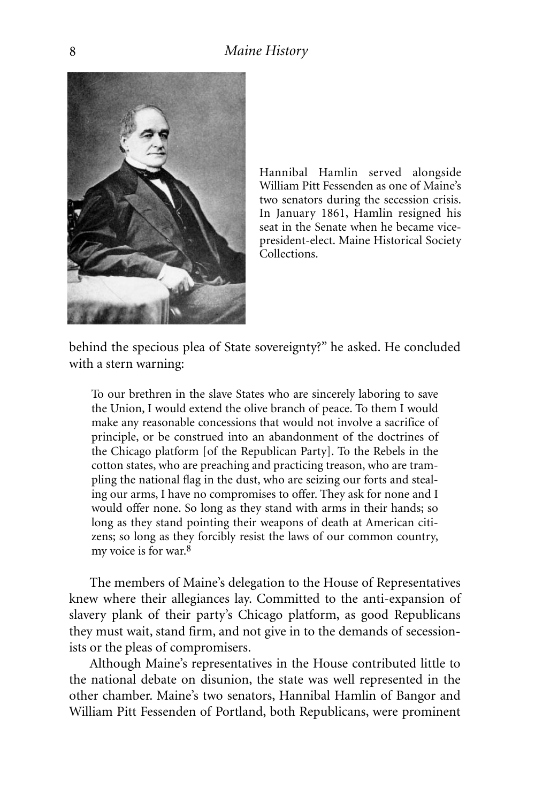

Hannibal Hamlin served alongside William Pitt Fessenden as one of Maine's two senators during the secession crisis. In January 1861, Hamlin resigned his seat in the Senate when he became vicepresident-elect. Maine Historical Society Collections.

behind the specious plea of State sovereignty?" he asked. He concluded with a stern warning:

To our brethren in the slave States who are sincerely laboring to save the Union, I would extend the olive branch of peace. To them I would make any reasonable concessions that would not involve a sacrifice of principle, or be construed into an abandonment of the doctrines of the Chicago platform [of the Republican Party]. To the Rebels in the cotton states, who are preaching and practicing treason, who are trampling the national flag in the dust, who are seizing our forts and stealing our arms, I have no compromises to offer. They ask for none and I would offer none. So long as they stand with arms in their hands; so long as they stand pointing their weapons of death at American citizens; so long as they forcibly resist the laws of our common country, my voice is for war. 8

The members of Maine's delegation to the House of Representatives knew where their allegiances lay. Committed to the anti-expansion of slavery plank of their party's Chicago platform, as good Republicans they must wait, stand firm, and not give in to the demands of secessionists or the pleas of compromisers.

Although Maine's representatives in the House contributed little to the national debate on disunion, the state was well represented in the other chamber. Maine's two senators, Hannibal Hamlin of Bangor and William Pitt Fessenden of Portland, both Republicans, were prominent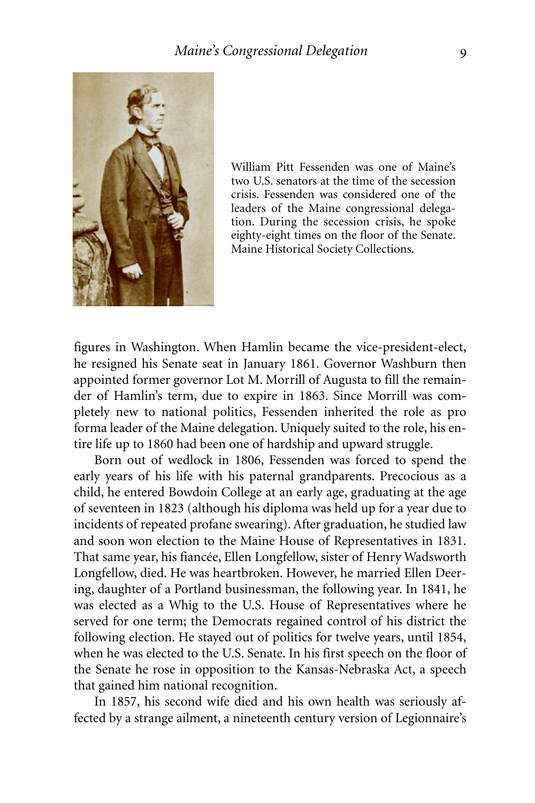

William Pitt Fessenden was one of Maine's two U.S. senators at the time of the secession crisis. Fessenden was considered one of the leaders of the Maine congressional delegation. During the secession crisis, he spoke eighty-eight times on the floor of the Senate. Maine Historical Society Collections.

figures in Washington. When Hamlin became the vice-president-elect, he resigned his Senate seat in January 1861. Governor Washburn then appointed former governor Lot M. Morrill of Augusta to fill the remainder of Hamlin's term, due to expire in 1863. Since Morrill was completely new to national politics, Fessenden inherited the role as pro forma leader of the Maine delegation. Uniquely suited to the role, his entire life up to 1860 had been one of hardship and upward struggle.

Born out of wedlock in 1806, Fessenden was forced to spend the early years of his life with his paternal grandparents. Precocious as a child, he entered Bowdoin College at an early age, graduating at the age of seventeen in 1823 (although his diploma was held up for a year due to incidents of repeated profane swearing). After graduation, he studied law and soon won election to the Maine House of Representatives in 1831. That same year, his fiancée, Ellen Longfellow, sister of Henry Wadsworth Longfellow, died. He was heartbroken. However, he married Ellen Deering, daughter of a Portland businessman, the following year. In 1841, he was elected as a Whig to the U.S. House of Representatives where he served for one term; the Democrats regained control of his district the following election. He stayed out of politics for twelve years, until 1854, when he was elected to the U.S. Senate. In his first speech on the floor of the Senate he rose in opposition to the Kansas-Nebraska Act, a speech that gained him national recognition.

In 1857, his second wife died and his own health was seriously affected by a strange ailment, a nineteenth century version of Legionnaire's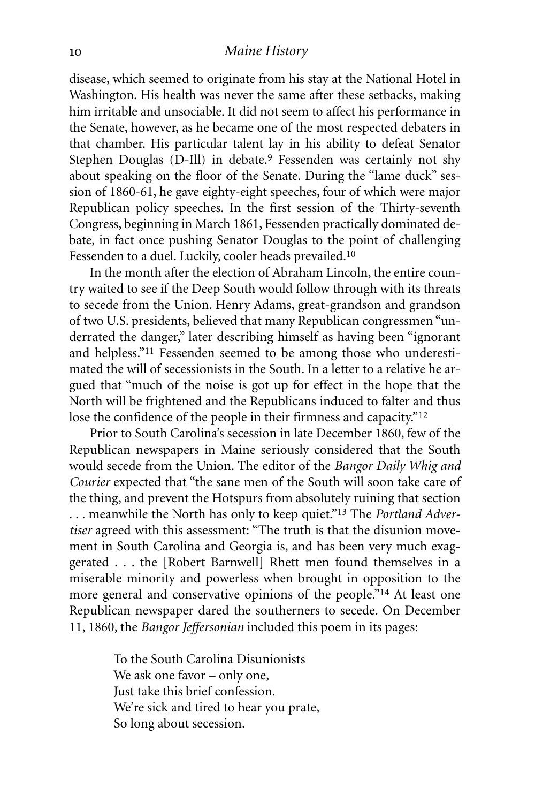disease, which seemed to originate from his stay at the National Hotel in Washington. His health was never the same after these setbacks, making him irritable and unsociable. It did not seem to affect his performance in the Senate, however, as he became one of the most respected debaters in that chamber. His particular talent lay in his ability to defeat Senator Stephen Douglas (D-Ill) in debate. 9 Fessenden was certainly not shy about speaking on the floor of the Senate. During the "lame duck" session of 1860-61, he gave eighty-eight speeches, four of which were major Republican policy speeches. In the first session of the Thirty-seventh Congress, beginning in March 1861, Fessenden practically dominated debate, in fact once pushing Senator Douglas to the point of challenging Fessenden to a duel. Luckily, cooler heads prevailed.<sup>10</sup>

In the month after the election of Abraham Lincoln, the entire country waited to see if the Deep South would follow through with its threats to secede from the Union. Henry Adams, great-grandson and grandson of two U.S. presidents, believed that many Republican congressmen "underrated the danger," later describing himself as having been "ignorant and helpless."11 Fessenden seemed to be among those who underestimated the will of secessionists in the South. In a letter to a relative he argued that "much of the noise is got up for effect in the hope that the North will be frightened and the Republicans induced to falter and thus lose the confidence of the people in their firmness and capacity."12

Prior to South Carolina's secession in late December 1860, few of the Republican newspapers in Maine seriously considered that the South would secede from the Union. The editor of the *Bangor Daily Whig and Courier* expected that "the sane men of the South will soon take care of the thing, and prevent the Hotspurs from absolutely ruining that section . . . meanwhile the North has only to keep quiet."13 The *Portland Advertiser* agreed with this assessment: "The truth is that the disunion movement in South Carolina and Georgia is, and has been very much exaggerated . . . the [Robert Barnwell] Rhett men found themselves in a miserable minority and powerless when brought in opposition to the more general and conservative opinions of the people."14 At least one Republican newspaper dared the southerners to secede. On December 11, 1860, the *Bangor Jeffersonian* included this poem in its pages:

> To the South Carolina Disunionists We ask one favor – only one, Just take this brief confession. We're sick and tired to hear you prate, So long about secession.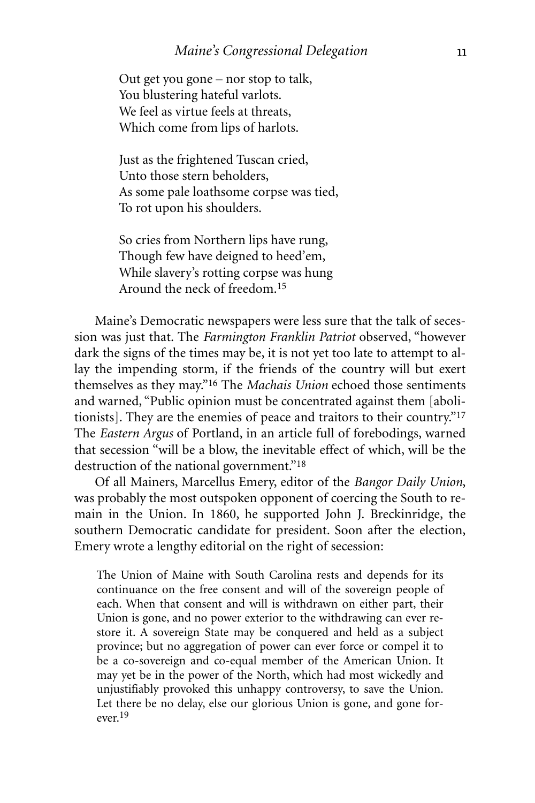Out get you gone – nor stop to talk, You blustering hateful varlots. We feel as virtue feels at threats, Which come from lips of harlots.

Just as the frightened Tuscan cried, Unto those stern beholders, As some pale loathsome corpse was tied, To rot upon his shoulders.

So cries from Northern lips have rung, Though few have deigned to heed'em, While slavery's rotting corpse was hung Around the neck of freedom. 15

Maine's Democratic newspapers were less sure that the talk of secession was just that. The *Farmington Franklin Patriot* observed, "however dark the signs of the times may be, it is not yet too late to attempt to allay the impending storm, if the friends of the country will but exert themselves as they may."16 The *Machais Union* echoed those sentiments and warned, "Public opinion must be concentrated against them [abolitionists]. They are the enemies of peace and traitors to their country."17 The *Eastern Argus* of Portland, in an article full of forebodings, warned that secession "will be a blow, the inevitable effect of which, will be the destruction of the national government."<sup>18</sup>

Of all Mainers, Marcellus Emery, editor of the *Bangor Daily Union*, was probably the most outspoken opponent of coercing the South to remain in the Union. In 1860, he supported John J. Breckinridge, the southern Democratic candidate for president. Soon after the election, Emery wrote a lengthy editorial on the right of secession:

The Union of Maine with South Carolina rests and depends for its continuance on the free consent and will of the sovereign people of each. When that consent and will is withdrawn on either part, their Union is gone, and no power exterior to the withdrawing can ever restore it. A sovereign State may be conquered and held as a subject province; but no aggregation of power can ever force or compel it to be a co-sovereign and co-equal member of the American Union. It may yet be in the power of the North, which had most wickedly and unjustifiably provoked this unhappy controversy, to save the Union. Let there be no delay, else our glorious Union is gone, and gone forever. 19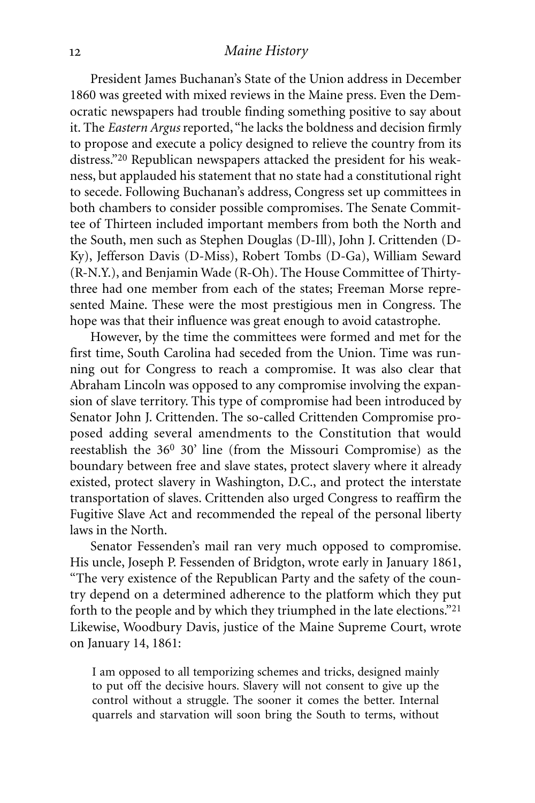President James Buchanan's State of the Union address in December 1860 was greeted with mixed reviews in the Maine press. Even the Democratic newspapers had trouble finding something positive to say about it. The *Eastern Argus* reported, "he lacks the boldness and decision firmly to propose and execute a policy designed to relieve the country from its distress."20 Republican newspapers attacked the president for his weakness, but applauded his statement that no state had a constitutional right to secede. Following Buchanan's address, Congress set up committees in both chambers to consider possible compromises. The Senate Committee of Thirteen included important members from both the North and the South, men such as Stephen Douglas (D-Ill), John J. Crittenden (D-Ky), Jefferson Davis (D-Miss), Robert Tombs (D-Ga), William Seward (R-N.Y.), and Benjamin Wade (R-Oh). The House Committee of Thirtythree had one member from each of the states; Freeman Morse represented Maine. These were the most prestigious men in Congress. The hope was that their influence was great enough to avoid catastrophe.

However, by the time the committees were formed and met for the first time, South Carolina had seceded from the Union. Time was running out for Congress to reach a compromise. It was also clear that Abraham Lincoln was opposed to any compromise involving the expansion of slave territory. This type of compromise had been introduced by Senator John J. Crittenden. The so-called Crittenden Compromise proposed adding several amendments to the Constitution that would reestablish the 360 30' line (from the Missouri Compromise) as the boundary between free and slave states, protect slavery where it already existed, protect slavery in Washington, D.C., and protect the interstate transportation of slaves. Crittenden also urged Congress to reaffirm the Fugitive Slave Act and recommended the repeal of the personal liberty laws in the North.

Senator Fessenden's mail ran very much opposed to compromise. His uncle, Joseph P. Fessenden of Bridgton, wrote early in January 1861, "The very existence of the Republican Party and the safety of the country depend on a determined adherence to the platform which they put forth to the people and by which they triumphed in the late elections."21 Likewise, Woodbury Davis, justice of the Maine Supreme Court, wrote on January 14, 1861:

I am opposed to all temporizing schemes and tricks, designed mainly to put off the decisive hours. Slavery will not consent to give up the control without a struggle. The sooner it comes the better. Internal quarrels and starvation will soon bring the South to terms, without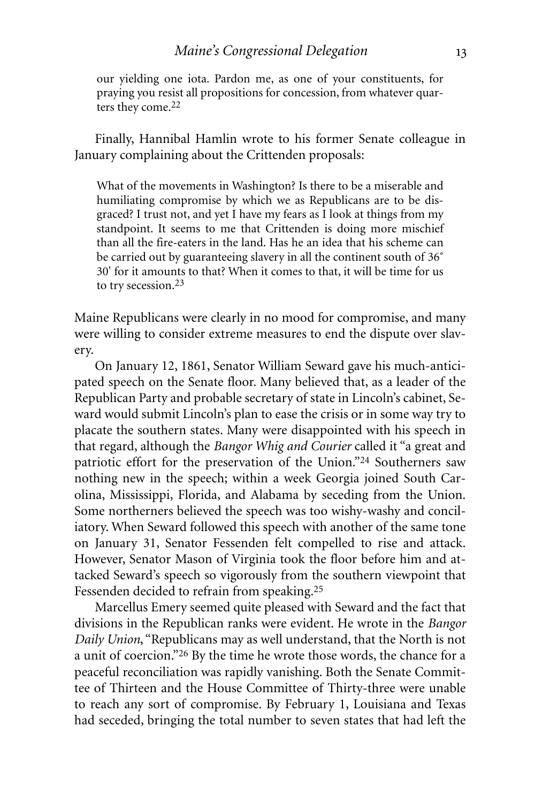our yielding one iota. Pardon me, as one of your constituents, for praying you resist all propositions for concession, from whatever quarters they come. 22

Finally, Hannibal Hamlin wrote to his former Senate colleague in January complaining about the Crittenden proposals:

What of the movements in Washington? Is there to be a miserable and humiliating compromise by which we as Republicans are to be disgraced? I trust not, and yet I have my fears as I look at things from my standpoint. It seems to me that Crittenden is doing more mischief than all the fire-eaters in the land. Has he an idea that his scheme can be carried out by guaranteeing slavery in all the continent south of 36˚ 30' for it amounts to that? When it comes to that, it will be time for us to try secession. 23

Maine Republicans were clearly in no mood for compromise, and many were willing to consider extreme measures to end the dispute over slavery.

On January 12, 1861, Senator William Seward gave his much-anticipated speech on the Senate floor. Many believed that, as a leader of the Republican Party and probable secretary of state in Lincoln's cabinet, Seward would submit Lincoln's plan to ease the crisis or in some way try to placate the southern states. Many were disappointed with his speech in that regard, although the *Bangor Whig and Courier* called it "a great and patriotic effort for the preservation of the Union."24 Southerners saw nothing new in the speech; within a week Georgia joined South Carolina, Mississippi, Florida, and Alabama by seceding from the Union. Some northerners believed the speech was too wishy-washy and conciliatory. When Seward followed this speech with another of the same tone on January 31, Senator Fessenden felt compelled to rise and attack. However, Senator Mason of Virginia took the floor before him and attacked Seward's speech so vigorously from the southern viewpoint that Fessenden decided to refrain from speaking. 25

Marcellus Emery seemed quite pleased with Seward and the fact that divisions in the Republican ranks were evident. He wrote in the *Bangor Daily Union*, "Republicans may as well understand, that the North is not a unit of coercion."26 By the time he wrote those words, the chance for a peaceful reconciliation was rapidly vanishing. Both the Senate Committee of Thirteen and the House Committee of Thirty-three were unable to reach any sort of compromise. By February 1, Louisiana and Texas had seceded, bringing the total number to seven states that had left the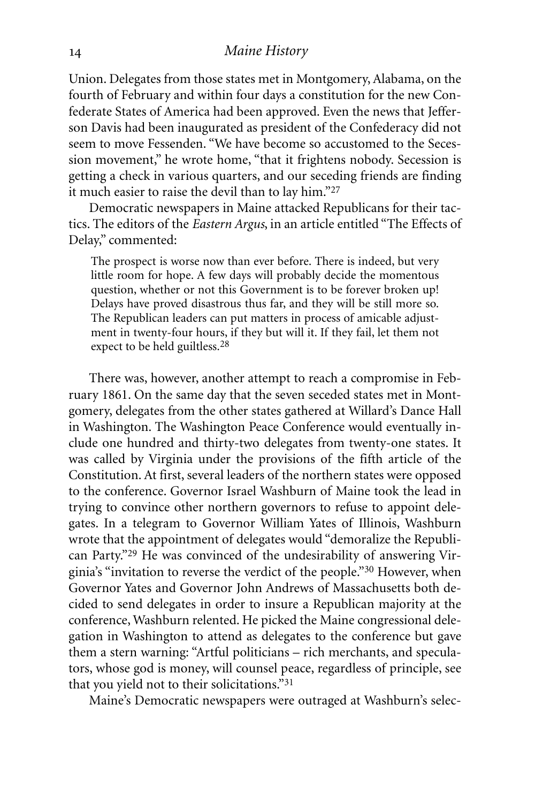Union. Delegates from those states met in Montgomery, Alabama, on the fourth of February and within four days a constitution for the new Confederate States of America had been approved. Even the news that Jefferson Davis had been inaugurated as president of the Confederacy did not seem to move Fessenden. "We have become so accustomed to the Secession movement," he wrote home, "that it frightens nobody. Secession is getting a check in various quarters, and our seceding friends are finding it much easier to raise the devil than to lay him."27

Democratic newspapers in Maine attacked Republicans for their tactics. The editors of the *Eastern Argus*, in an article entitled "The Effects of Delay," commented:

The prospect is worse now than ever before. There is indeed, but very little room for hope. A few days will probably decide the momentous question, whether or not this Government is to be forever broken up! Delays have proved disastrous thus far, and they will be still more so. The Republican leaders can put matters in process of amicable adjustment in twenty-four hours, if they but will it. If they fail, let them not expect to be held guiltless. 28

There was, however, another attempt to reach a compromise in February 1861. On the same day that the seven seceded states met in Montgomery, delegates from the other states gathered at Willard's Dance Hall in Washington. The Washington Peace Conference would eventually include one hundred and thirty-two delegates from twenty-one states. It was called by Virginia under the provisions of the fifth article of the Constitution. At first, several leaders of the northern states were opposed to the conference. Governor Israel Washburn of Maine took the lead in trying to convince other northern governors to refuse to appoint delegates. In a telegram to Governor William Yates of Illinois, Washburn wrote that the appointment of delegates would "demoralize the Republican Party."29 He was convinced of the undesirability of answering Virginia's "invitation to reverse the verdict of the people."30 However, when Governor Yates and Governor John Andrews of Massachusetts both decided to send delegates in order to insure a Republican majority at the conference, Washburn relented. He picked the Maine congressional delegation in Washington to attend as delegates to the conference but gave them a stern warning: "Artful politicians – rich merchants, and speculators, whose god is money, will counsel peace, regardless of principle, see that you yield not to their solicitations."31

Maine's Democratic newspapers were outraged at Washburn's selec-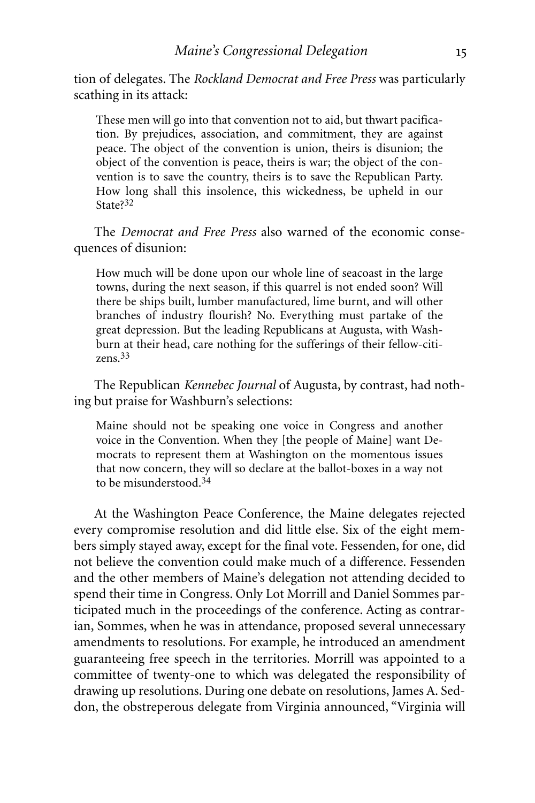tion of delegates. The *Rockland Democrat and Free Press* was particularly scathing in its attack:

These men will go into that convention not to aid, but thwart pacification. By prejudices, association, and commitment, they are against peace. The object of the convention is union, theirs is disunion; the object of the convention is peace, theirs is war; the object of the convention is to save the country, theirs is to save the Republican Party. How long shall this insolence, this wickedness, be upheld in our State?<sup>32</sup>

The *Democrat and Free Press* also warned of the economic consequences of disunion:

How much will be done upon our whole line of seacoast in the large towns, during the next season, if this quarrel is not ended soon? Will there be ships built, lumber manufactured, lime burnt, and will other branches of industry flourish? No. Everything must partake of the great depression. But the leading Republicans at Augusta, with Washburn at their head, care nothing for the sufferings of their fellow-citizens. 33

The Republican *Kennebec Journal* of Augusta, by contrast, had nothing but praise for Washburn's selections:

Maine should not be speaking one voice in Congress and another voice in the Convention. When they [the people of Maine] want Democrats to represent them at Washington on the momentous issues that now concern, they will so declare at the ballot-boxes in a way not to be misunderstood. 34

At the Washington Peace Conference, the Maine delegates rejected every compromise resolution and did little else. Six of the eight members simply stayed away, except for the final vote. Fessenden, for one, did not believe the convention could make much of a difference. Fessenden and the other members of Maine's delegation not attending decided to spend their time in Congress. Only Lot Morrill and Daniel Sommes participated much in the proceedings of the conference. Acting as contrarian, Sommes, when he was in attendance, proposed several unnecessary amendments to resolutions. For example, he introduced an amendment guaranteeing free speech in the territories. Morrill was appointed to a committee of twenty-one to which was delegated the responsibility of drawing up resolutions. During one debate on resolutions, James A. Seddon, the obstreperous delegate from Virginia announced, "Virginia will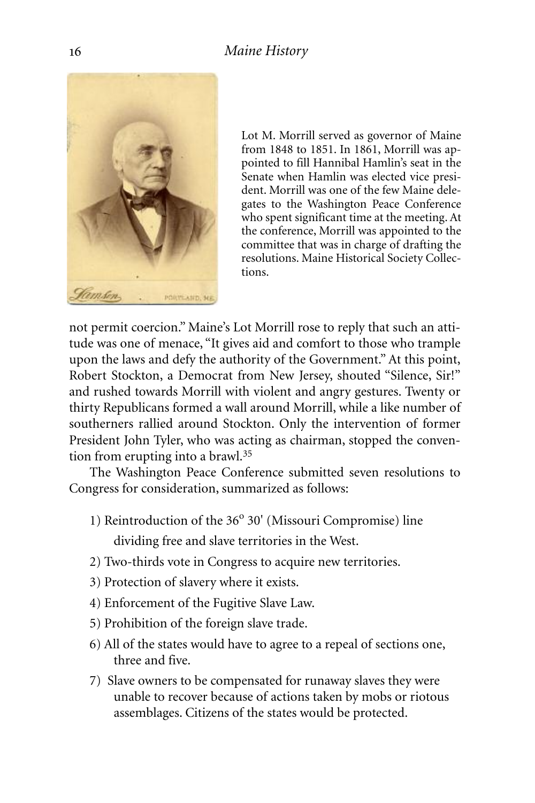

Lot M. Morrill served as governor of Maine from 1848 to 1851. In 1861, Morrill was appointed to fill Hannibal Hamlin's seat in the Senate when Hamlin was elected vice president. Morrill was one of the few Maine delegates to the Washington Peace Conference who spent significant time at the meeting. At the conference, Morrill was appointed to the committee that was in charge of drafting the resolutions. Maine Historical Society Collections.

not permit coercion." Maine's Lot Morrill rose to reply that such an attitude was one of menace, "It gives aid and comfort to those who trample upon the laws and defy the authority of the Government." At this point, Robert Stockton, a Democrat from New Jersey, shouted "Silence, Sir!" and rushed towards Morrill with violent and angry gestures. Twenty or thirty Republicans formed a wall around Morrill, while a like number of southerners rallied around Stockton. Only the intervention of former President John Tyler, who was acting as chairman, stopped the convention from erupting into a brawl.35

The Washington Peace Conference submitted seven resolutions to Congress for consideration, summarized as follows:

- 1) Reintroduction of the  $36^{\circ}$  30' (Missouri Compromise) line dividing free and slave territories in the West.
- 2) Two-thirds vote in Congress to acquire new territories.
- 3) Protection of slavery where it exists.
- 4) Enforcement of the Fugitive Slave Law.
- 5) Prohibition of the foreign slave trade.
- 6) All of the states would have to agree to a repeal of sections one, three and five.
- 7) Slave owners to be compensated for runaway slaves they were unable to recover because of actions taken by mobs or riotous assemblages. Citizens of the states would be protected.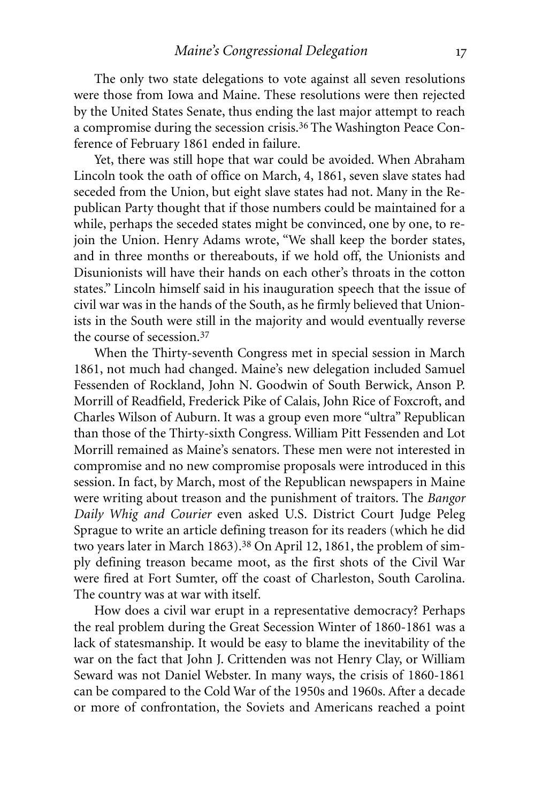The only two state delegations to vote against all seven resolutions were those from Iowa and Maine. These resolutions were then rejected by the United States Senate, thus ending the last major attempt to reach a compromise during the secession crisis. 36 The Washington Peace Conference of February 1861 ended in failure.

Yet, there was still hope that war could be avoided. When Abraham Lincoln took the oath of office on March, 4, 1861, seven slave states had seceded from the Union, but eight slave states had not. Many in the Republican Party thought that if those numbers could be maintained for a while, perhaps the seceded states might be convinced, one by one, to rejoin the Union. Henry Adams wrote, "We shall keep the border states, and in three months or thereabouts, if we hold off, the Unionists and Disunionists will have their hands on each other's throats in the cotton states." Lincoln himself said in his inauguration speech that the issue of civil war was in the hands of the South, as he firmly believed that Unionists in the South were still in the majority and would eventually reverse the course of secession. 37

When the Thirty-seventh Congress met in special session in March 1861, not much had changed. Maine's new delegation included Samuel Fessenden of Rockland, John N. Goodwin of South Berwick, Anson P. Morrill of Readfield, Frederick Pike of Calais, John Rice of Foxcroft, and Charles Wilson of Auburn. It was a group even more "ultra" Republican than those of the Thirty-sixth Congress. William Pitt Fessenden and Lot Morrill remained as Maine's senators. These men were not interested in compromise and no new compromise proposals were introduced in this session. In fact, by March, most of the Republican newspapers in Maine were writing about treason and the punishment of traitors. The *Bangor Daily Whig and Courier* even asked U.S. District Court Judge Peleg Sprague to write an article defining treason for its readers (which he did two years later in March 1863).<sup>38</sup> On April 12, 1861, the problem of simply defining treason became moot, as the first shots of the Civil War were fired at Fort Sumter, off the coast of Charleston, South Carolina. The country was at war with itself.

How does a civil war erupt in a representative democracy? Perhaps the real problem during the Great Secession Winter of 1860-1861 was a lack of statesmanship. It would be easy to blame the inevitability of the war on the fact that John J. Crittenden was not Henry Clay, or William Seward was not Daniel Webster. In many ways, the crisis of 1860-1861 can be compared to the Cold War of the 1950s and 1960s. After a decade or more of confrontation, the Soviets and Americans reached a point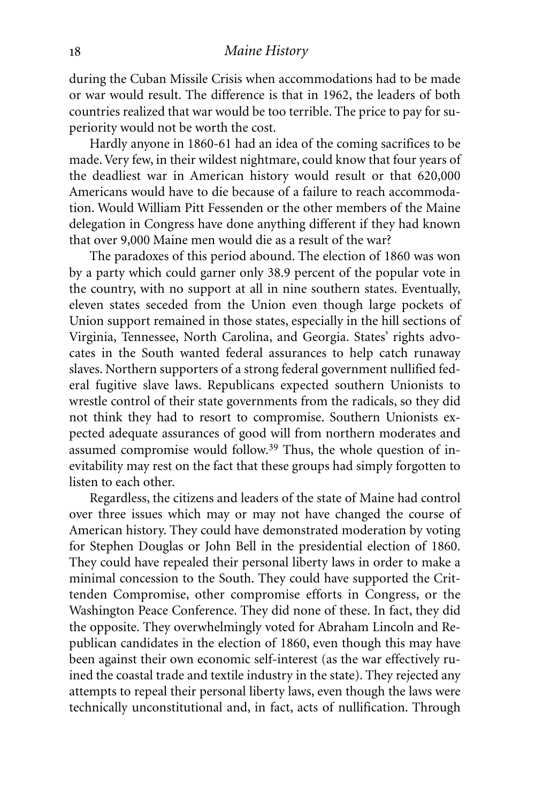during the Cuban Missile Crisis when accommodations had to be made or war would result. The difference is that in 1962, the leaders of both countries realized that war would be too terrible. The price to pay for superiority would not be worth the cost.

Hardly anyone in 1860-61 had an idea of the coming sacrifices to be made.Very few, in their wildest nightmare, could know that four years of the deadliest war in American history would result or that 620,000 Americans would have to die because of a failure to reach accommodation. Would William Pitt Fessenden or the other members of the Maine delegation in Congress have done anything different if they had known that over 9,000 Maine men would die as a result of the war?

The paradoxes of this period abound. The election of 1860 was won by a party which could garner only 38.9 percent of the popular vote in the country, with no support at all in nine southern states. Eventually, eleven states seceded from the Union even though large pockets of Union support remained in those states, especially in the hill sections of Virginia, Tennessee, North Carolina, and Georgia. States' rights advocates in the South wanted federal assurances to help catch runaway slaves. Northern supporters of a strong federal government nullified federal fugitive slave laws. Republicans expected southern Unionists to wrestle control of their state governments from the radicals, so they did not think they had to resort to compromise. Southern Unionists expected adequate assurances of good will from northern moderates and assumed compromise would follow.<sup>39</sup> Thus, the whole question of inevitability may rest on the fact that these groups had simply forgotten to listen to each other.

Regardless, the citizens and leaders of the state of Maine had control over three issues which may or may not have changed the course of American history. They could have demonstrated moderation by voting for Stephen Douglas or John Bell in the presidential election of 1860. They could have repealed their personal liberty laws in order to make a minimal concession to the South. They could have supported the Crittenden Compromise, other compromise efforts in Congress, or the Washington Peace Conference. They did none of these. In fact, they did the opposite. They overwhelmingly voted for Abraham Lincoln and Republican candidates in the election of 1860, even though this may have been against their own economic self-interest (as the war effectively ruined the coastal trade and textile industry in the state). They rejected any attempts to repeal their personal liberty laws, even though the laws were technically unconstitutional and, in fact, acts of nullification. Through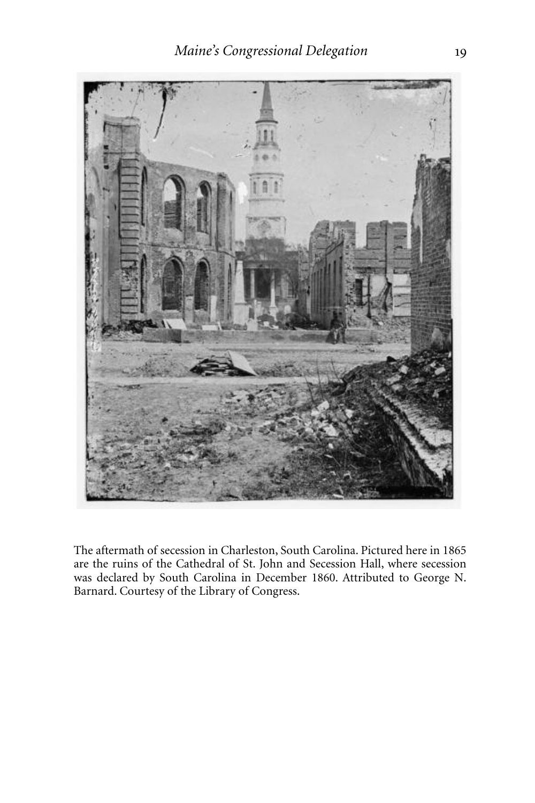

The aftermath of secession in Charleston, South Carolina. Pictured here in 1865 are the ruins of the Cathedral of St. John and Secession Hall, where secession was declared by South Carolina in December 1860. Attributed to George N. Barnard. Courtesy of the Library of Congress.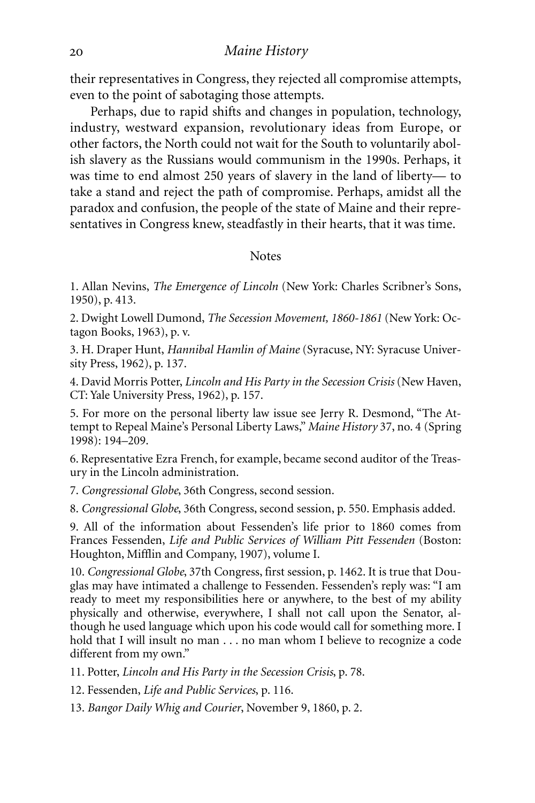their representatives in Congress, they rejected all compromise attempts, even to the point of sabotaging those attempts.

Perhaps, due to rapid shifts and changes in population, technology, industry, westward expansion, revolutionary ideas from Europe, or other factors, the North could not wait for the South to voluntarily abolish slavery as the Russians would communism in the 1990s. Perhaps, it was time to end almost 250 years of slavery in the land of liberty— to take a stand and reject the path of compromise. Perhaps, amidst all the paradox and confusion, the people of the state of Maine and their representatives in Congress knew, steadfastly in their hearts, that it was time.

#### **Notes**

1. Allan Nevins, *The Emergence of Lincoln* (New York: Charles Scribner's Sons, 1950), p. 413.

2. Dwight Lowell Dumond, *The Secession Movement, 1860-1861* (New York: Octagon Books, 1963), p. v.

3. H. Draper Hunt, *Hannibal Hamlin of Maine* (Syracuse, NY: Syracuse University Press, 1962), p. 137.

4. David Morris Potter, *Lincoln and His Party in the Secession Crisis* (New Haven, CT: Yale University Press, 1962), p. 157.

5. For more on the personal liberty law issue see Jerry R. Desmond, "The Attempt to Repeal Maine's Personal Liberty Laws," *Maine History* 37, no. 4 (Spring 1998): 194–209.

6. Representative Ezra French, for example, became second auditor of the Treasury in the Lincoln administration.

7. *Congressional Globe*, 36th Congress, second session.

8. *Congressional Globe*, 36th Congress, second session, p. 550. Emphasis added.

9. All of the information about Fessenden's life prior to 1860 comes from Frances Fessenden, *Life and Public Services of William Pitt Fessenden* (Boston: Houghton, Mifflin and Company, 1907), volume I.

10. *Congressional Globe*, 37th Congress, first session, p. 1462. It is true that Douglas may have intimated a challenge to Fessenden. Fessenden's reply was: "I am ready to meet my responsibilities here or anywhere, to the best of my ability physically and otherwise, everywhere, I shall not call upon the Senator, although he used language which upon his code would call for something more. I hold that I will insult no man . . . no man whom I believe to recognize a code different from my own."

11. Potter, *Lincoln and His Party in the Secession Crisis*, p. 78.

12. Fessenden, *Life and Public Services*, p. 116.

13. *Bangor Daily Whig and Courier*, November 9, 1860, p. 2.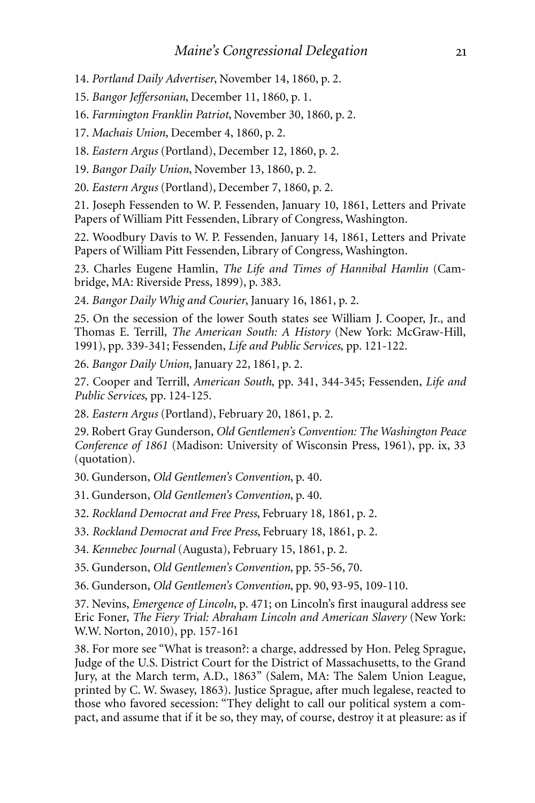14. *Portland Daily Advertiser*, November 14, 1860, p. 2.

15. *Bangor Jeffersonian*, December 11, 1860, p. 1.

16. *Farmington Franklin Patriot*, November 30, 1860, p. 2.

17. *Machais Union*, December 4, 1860, p. 2.

18. *Eastern Argus* (Portland), December 12, 1860, p. 2.

19. *Bangor Daily Union*, November 13, 1860, p. 2.

20. *Eastern Argus* (Portland), December 7, 1860, p. 2.

21. Joseph Fessenden to W. P. Fessenden, January 10, 1861, Letters and Private Papers of William Pitt Fessenden, Library of Congress, Washington.

22. Woodbury Davis to W. P. Fessenden, January 14, 1861, Letters and Private Papers of William Pitt Fessenden, Library of Congress, Washington.

23. Charles Eugene Hamlin, *The Life and Times of Hannibal Hamlin* (Cambridge, MA: Riverside Press, 1899), p. 383.

24. *Bangor Daily Whig and Courier*, January 16, 1861, p. 2.

25. On the secession of the lower South states see William J. Cooper, Jr., and Thomas E. Terrill, *The American South: A History* (New York: McGraw-Hill, 1991), pp. 339-341; Fessenden, *Life and Public Services*, pp. 121-122.

26. *Bangor Daily Union*, January 22, 1861, p. 2.

27. Cooper and Terrill, *American South*, pp. 341, 344-345; Fessenden, *Life and Public Services*, pp. 124-125.

28. *Eastern Argus* (Portland), February 20, 1861, p. 2.

29. Robert Gray Gunderson, *Old Gentlemen's Convention: The Washington Peace Conference of 1861* (Madison: University of Wisconsin Press, 1961), pp. ix, 33 (quotation).

30. Gunderson, *Old Gentlemen's Convention*, p. 40.

31. Gunderson, *Old Gentlemen's Convention*, p. 40.

32. *Rockland Democrat and Free Press*, February 18, 1861, p. 2.

33. *Rockland Democrat and Free Press*, February 18, 1861, p. 2.

34. *Kennebec Journal* (Augusta), February 15, 1861, p. 2.

35. Gunderson, *Old Gentlemen's Convention*, pp. 55-56, 70.

36. Gunderson, *Old Gentlemen's Convention*, pp. 90, 93-95, 109-110.

37. Nevins, *Emergence of Lincoln*, p. 471; on Lincoln's first inaugural address see Eric Foner, *The Fiery Trial: Abraham Lincoln and American Slavery* (New York: W.W. Norton, 2010), pp. 157-161

38. For more see "What is treason?: a charge, addressed by Hon. Peleg Sprague, Judge of the U.S. District Court for the District of Massachusetts, to the Grand Jury, at the March term, A.D., 1863" (Salem, MA: The Salem Union League, printed by C. W. Swasey, 1863). Justice Sprague, after much legalese, reacted to those who favored secession: "They delight to call our political system a compact, and assume that if it be so, they may, of course, destroy it at pleasure: as if